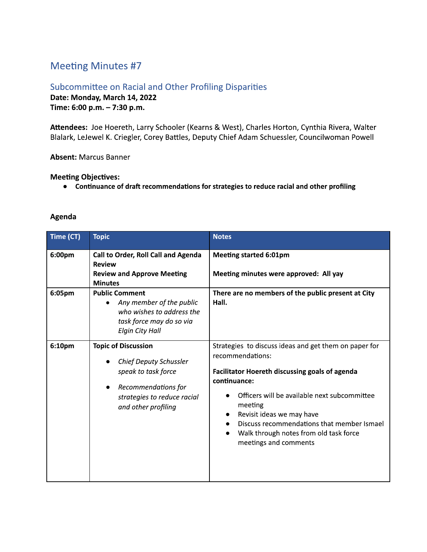# **Meeting Minutes #7**

## Subcommittee on Racial and Other Profiling Disparities Date: Monday, March 14, 2022 Time: 6:00 p.m. - 7:30 p.m.

Attendees: Joe Hoereth, Larry Schooler (Kearns & West), Charles Horton, Cynthia Rivera, Walter Blalark, LeJewel K. Criegler, Corey Battles, Deputy Chief Adam Schuessler, Councilwoman Powell

#### **Absent: Marcus Banner**

#### **Meeting Objectives:**

• Continuance of draft recommendations for strategies to reduce racial and other profiling

### Agenda

| Time (CT) | <b>Topic</b>                                                                                                                                                                 | <b>Notes</b>                                                                                                                                                                                                                                                                                                                                                                          |
|-----------|------------------------------------------------------------------------------------------------------------------------------------------------------------------------------|---------------------------------------------------------------------------------------------------------------------------------------------------------------------------------------------------------------------------------------------------------------------------------------------------------------------------------------------------------------------------------------|
| 6:00pm    | Call to Order, Roll Call and Agenda<br><b>Review</b><br><b>Review and Approve Meeting</b><br><b>Minutes</b>                                                                  | <b>Meeting started 6:01pm</b><br>Meeting minutes were approved: All yay                                                                                                                                                                                                                                                                                                               |
| 6:05pm    | <b>Public Comment</b><br>Any member of the public<br>$\bullet$<br>who wishes to address the<br>task force may do so via<br><b>Elgin City Hall</b>                            | There are no members of the public present at City<br>Hall.                                                                                                                                                                                                                                                                                                                           |
| 6:10pm    | <b>Topic of Discussion</b><br><b>Chief Deputy Schussler</b><br>speak to task force<br>Recommendations for<br>$\bullet$<br>strategies to reduce racial<br>and other profiling | Strategies to discuss ideas and get them on paper for<br>recommendations:<br><b>Facilitator Hoereth discussing goals of agenda</b><br>continuance:<br>Officers will be available next subcommittee<br>meeting<br>Revisit ideas we may have<br>$\bullet$<br>Discuss recommendations that member Ismael<br>Walk through notes from old task force<br>$\bullet$<br>meetings and comments |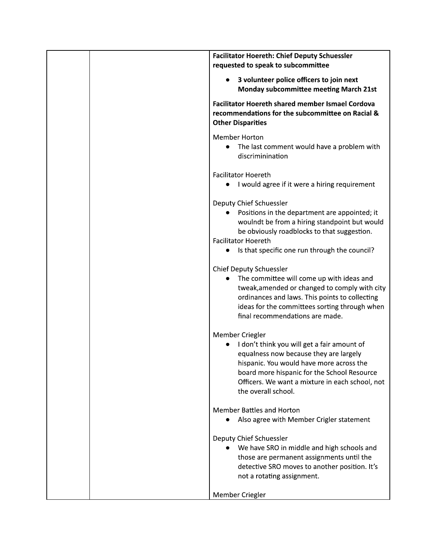| <b>Facilitator Hoereth: Chief Deputy Schuessler</b>                                                                                                                                                                                                                           |
|-------------------------------------------------------------------------------------------------------------------------------------------------------------------------------------------------------------------------------------------------------------------------------|
| requested to speak to subcommittee                                                                                                                                                                                                                                            |
| 3 volunteer police officers to join next<br>$\bullet$<br><b>Monday subcommittee meeting March 21st</b>                                                                                                                                                                        |
| <b>Facilitator Hoereth shared member Ismael Cordova</b><br>recommendations for the subcommittee on Racial &<br><b>Other Disparities</b>                                                                                                                                       |
| <b>Member Horton</b><br>The last comment would have a problem with<br>$\bullet$<br>discriminination                                                                                                                                                                           |
| <b>Facilitator Hoereth</b><br>• I would agree if it were a hiring requirement                                                                                                                                                                                                 |
| Deputy Chief Schuessler<br>Positions in the department are appointed; it<br>woulndt be from a hiring standpoint but would<br>be obviously roadblocks to that suggestion.<br><b>Facilitator Hoereth</b><br>Is that specific one run through the council?                       |
| <b>Chief Deputy Schuessler</b><br>The committee will come up with ideas and<br>tweak, amended or changed to comply with city<br>ordinances and laws. This points to collecting<br>ideas for the committees sorting through when<br>final recommendations are made.            |
| Member Criegler<br>I don't think you will get a fair amount of<br>equalness now because they are largely<br>hispanic. You would have more across the<br>board more hispanic for the School Resource<br>Officers. We want a mixture in each school, not<br>the overall school. |
| <b>Member Battles and Horton</b><br>Also agree with Member Crigler statement                                                                                                                                                                                                  |
| Deputy Chief Schuessler<br>We have SRO in middle and high schools and<br>those are permanent assignments until the<br>detective SRO moves to another position. It's<br>not a rotating assignment.                                                                             |
| Member Criegler                                                                                                                                                                                                                                                               |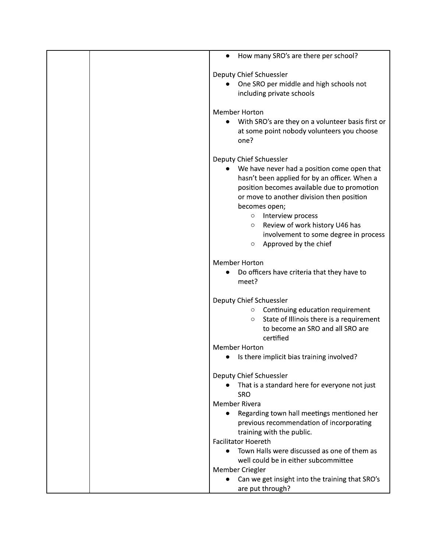| How many SRO's are there per school?<br>$\bullet$   |
|-----------------------------------------------------|
| Deputy Chief Schuessler                             |
|                                                     |
| One SRO per middle and high schools not             |
| including private schools                           |
| <b>Member Horton</b>                                |
| With SRO's are they on a volunteer basis first or   |
| at some point nobody volunteers you choose          |
| one?                                                |
| Deputy Chief Schuessler                             |
| We have never had a position come open that         |
| hasn't been applied for by an officer. When a       |
| position becomes available due to promotion         |
| or move to another division then position           |
| becomes open;                                       |
| Interview process<br>$\circ$                        |
| Review of work history U46 has<br>$\circ$           |
|                                                     |
| involvement to some degree in process               |
| Approved by the chief<br>$\circ$                    |
| <b>Member Horton</b>                                |
| Do officers have criteria that they have to         |
| meet?                                               |
|                                                     |
| Deputy Chief Schuessler                             |
| Continuing education requirement<br>$\circ$         |
| State of Illinois there is a requirement<br>$\circ$ |
| to become an SRO and all SRO are                    |
| certified                                           |
| <b>Member Horton</b>                                |
| Is there implicit bias training involved?           |
| Deputy Chief Schuessler                             |
| That is a standard here for everyone not just       |
| <b>SRO</b>                                          |
| <b>Member Rivera</b>                                |
| Regarding town hall meetings mentioned her          |
| previous recommendation of incorporating            |
| training with the public.                           |
| <b>Facilitator Hoereth</b>                          |
| Town Halls were discussed as one of them as         |
| well could be in either subcommittee                |
| Member Criegler                                     |
| Can we get insight into the training that SRO's     |
| are put through?                                    |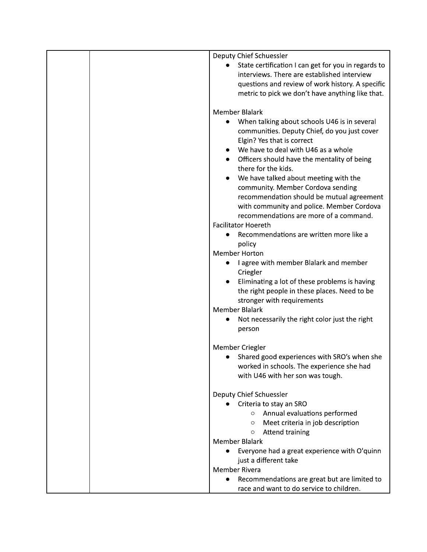| Deputy Chief Schuessler                                                             |
|-------------------------------------------------------------------------------------|
| State certification I can get for you in regards to<br>$\bullet$                    |
| interviews. There are established interview                                         |
| questions and review of work history. A specific                                    |
| metric to pick we don't have anything like that.                                    |
|                                                                                     |
| <b>Member Blalark</b>                                                               |
| When talking about schools U46 is in several<br>$\bullet$                           |
| communities. Deputy Chief, do you just cover                                        |
| Elgin? Yes that is correct                                                          |
| We have to deal with U46 as a whole                                                 |
| Officers should have the mentality of being<br>$\bullet$                            |
| there for the kids.                                                                 |
| We have talked about meeting with the                                               |
| community. Member Cordova sending                                                   |
| recommendation should be mutual agreement                                           |
|                                                                                     |
| with community and police. Member Cordova<br>recommendations are more of a command. |
|                                                                                     |
| <b>Facilitator Hoereth</b>                                                          |
| Recommendations are written more like a<br>$\bullet$                                |
| policy                                                                              |
| <b>Member Horton</b>                                                                |
| I agree with member Blalark and member                                              |
| Criegler                                                                            |
| Eliminating a lot of these problems is having                                       |
| the right people in these places. Need to be                                        |
| stronger with requirements                                                          |
| <b>Member Blalark</b>                                                               |
| Not necessarily the right color just the right<br>$\bullet$                         |
| person                                                                              |
|                                                                                     |
| Member Criegler                                                                     |
| Shared good experiences with SRO's when she                                         |
| worked in schools. The experience she had                                           |
| with U46 with her son was tough.                                                    |
|                                                                                     |
| Deputy Chief Schuessler                                                             |
| Criteria to stay an SRO                                                             |
| Annual evaluations performed<br>$\circ$                                             |
| Meet criteria in job description<br>$\circ$                                         |
| <b>Attend training</b><br>$\circ$                                                   |
| <b>Member Blalark</b>                                                               |
| Everyone had a great experience with O'quinn                                        |
| just a different take                                                               |
| Member Rivera                                                                       |
| Recommendations are great but are limited to<br>$\bullet$                           |
| race and want to do service to children.                                            |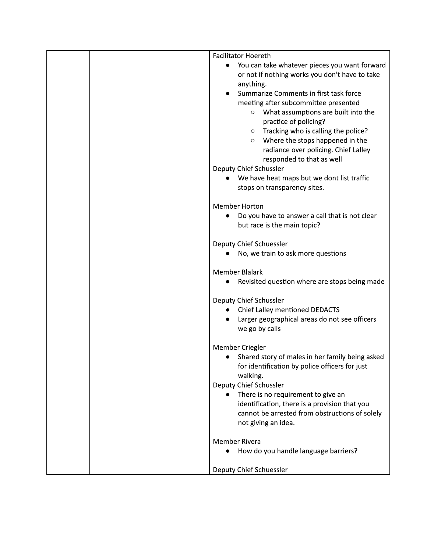| <b>Facilitator Hoereth</b>                                                |
|---------------------------------------------------------------------------|
| You can take whatever pieces you want forward<br>$\bullet$                |
| or not if nothing works you don't have to take                            |
| anything.                                                                 |
| Summarize Comments in first task force                                    |
| meeting after subcommittee presented                                      |
| What assumptions are built into the<br>$\circ$<br>practice of policing?   |
| Tracking who is calling the police?<br>$\circ$                            |
| Where the stops happened in the<br>$\circ$                                |
| radiance over policing. Chief Lalley                                      |
| responded to that as well                                                 |
| Deputy Chief Schussler                                                    |
| We have heat maps but we dont list traffic                                |
| stops on transparency sites.                                              |
| <b>Member Horton</b>                                                      |
| Do you have to answer a call that is not clear<br>$\bullet$               |
| but race is the main topic?                                               |
| Deputy Chief Schuessler                                                   |
| No, we train to ask more questions                                        |
| <b>Member Blalark</b>                                                     |
| Revisited question where are stops being made<br>$\bullet$                |
| Deputy Chief Schussler                                                    |
| Chief Lalley mentioned DEDACTS<br>$\bullet$                               |
| Larger geographical areas do not see officers                             |
| we go by calls                                                            |
| Member Criegler                                                           |
| Shared story of males in her family being asked                           |
| for identification by police officers for just                            |
| walking.                                                                  |
| Deputy Chief Schussler<br>There is no requirement to give an<br>$\bullet$ |
| identification, there is a provision that you                             |
| cannot be arrested from obstructions of solely                            |
| not giving an idea.                                                       |
| <b>Member Rivera</b>                                                      |
| How do you handle language barriers?                                      |
| Deputy Chief Schuessler                                                   |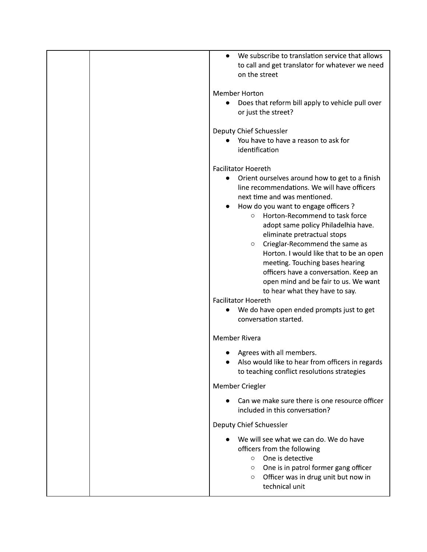|  | We subscribe to translation service that allows<br>to call and get translator for whatever we need<br>on the street |
|--|---------------------------------------------------------------------------------------------------------------------|
|  | <b>Member Horton</b>                                                                                                |
|  | Does that reform bill apply to vehicle pull over                                                                    |
|  | or just the street?                                                                                                 |
|  | Deputy Chief Schuessler                                                                                             |
|  | You have to have a reason to ask for                                                                                |
|  | identification                                                                                                      |
|  | <b>Facilitator Hoereth</b>                                                                                          |
|  | Orient ourselves around how to get to a finish<br>$\bullet$                                                         |
|  | line recommendations. We will have officers                                                                         |
|  | next time and was mentioned.<br>How do you want to engage officers ?                                                |
|  | Horton-Recommend to task force<br>$\circ$                                                                           |
|  | adopt same policy Philadelhia have.                                                                                 |
|  | eliminate pretractual stops                                                                                         |
|  | Crieglar-Recommend the same as<br>$\circ$                                                                           |
|  | Horton. I would like that to be an open                                                                             |
|  | meeting. Touching bases hearing                                                                                     |
|  | officers have a conversation. Keep an<br>open mind and be fair to us. We want                                       |
|  | to hear what they have to say.                                                                                      |
|  | <b>Facilitator Hoereth</b>                                                                                          |
|  | We do have open ended prompts just to get<br>$\bullet$                                                              |
|  | conversation started.                                                                                               |
|  | <b>Member Rivera</b>                                                                                                |
|  | Agrees with all members.                                                                                            |
|  | Also would like to hear from officers in regards                                                                    |
|  | to teaching conflict resolutions strategies<br>Member Criegler                                                      |
|  |                                                                                                                     |
|  | Can we make sure there is one resource officer<br>included in this conversation?                                    |
|  | Deputy Chief Schuessler                                                                                             |
|  | We will see what we can do. We do have                                                                              |
|  | officers from the following                                                                                         |
|  | One is detective<br>$\circ$                                                                                         |
|  | One is in patrol former gang officer<br>$\circ$<br>Officer was in drug unit but now in<br>$\circ$                   |
|  | technical unit                                                                                                      |
|  |                                                                                                                     |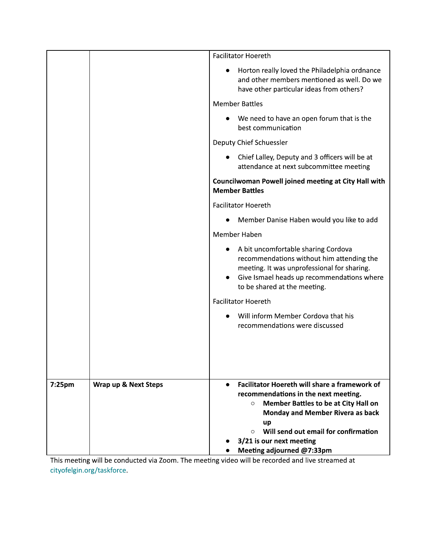|        |                      | <b>Facilitator Hoereth</b>                                                                                                                                                                                    |
|--------|----------------------|---------------------------------------------------------------------------------------------------------------------------------------------------------------------------------------------------------------|
|        |                      | Horton really loved the Philadelphia ordnance<br>$\bullet$<br>and other members mentioned as well. Do we<br>have other particular ideas from others?                                                          |
|        |                      | <b>Member Battles</b>                                                                                                                                                                                         |
|        |                      | • We need to have an open forum that is the<br>best communication                                                                                                                                             |
|        |                      | Deputy Chief Schuessler                                                                                                                                                                                       |
|        |                      | • Chief Lalley, Deputy and 3 officers will be at<br>attendance at next subcommittee meeting                                                                                                                   |
|        |                      | Councilwoman Powell joined meeting at City Hall with<br><b>Member Battles</b>                                                                                                                                 |
|        |                      | <b>Facilitator Hoereth</b>                                                                                                                                                                                    |
|        |                      | Member Danise Haben would you like to add                                                                                                                                                                     |
|        |                      | Member Haben                                                                                                                                                                                                  |
|        |                      | A bit uncomfortable sharing Cordova<br>recommendations without him attending the<br>meeting. It was unprofessional for sharing.<br>Give Ismael heads up recommendations where<br>to be shared at the meeting. |
|        |                      | <b>Facilitator Hoereth</b>                                                                                                                                                                                    |
|        |                      | Will inform Member Cordova that his<br>recommendations were discussed                                                                                                                                         |
| 7:25pm | Wrap up & Next Steps | <b>Facilitator Hoereth will share a framework of</b><br>$\bullet$<br>recommendations in the next meeting.                                                                                                     |
|        |                      | <b>Member Battles to be at City Hall on</b><br>$\circ$<br><b>Monday and Member Rivera as back</b><br>up<br>Will send out email for confirmation<br>$\circ$<br>3/21 is our next meeting                        |
|        |                      | Meeting adjourned @7:33pm                                                                                                                                                                                     |

This meeting will be conducted via Zoom. The meeting video will be recorded and live streamed at cityofelgin.org/taskforce.